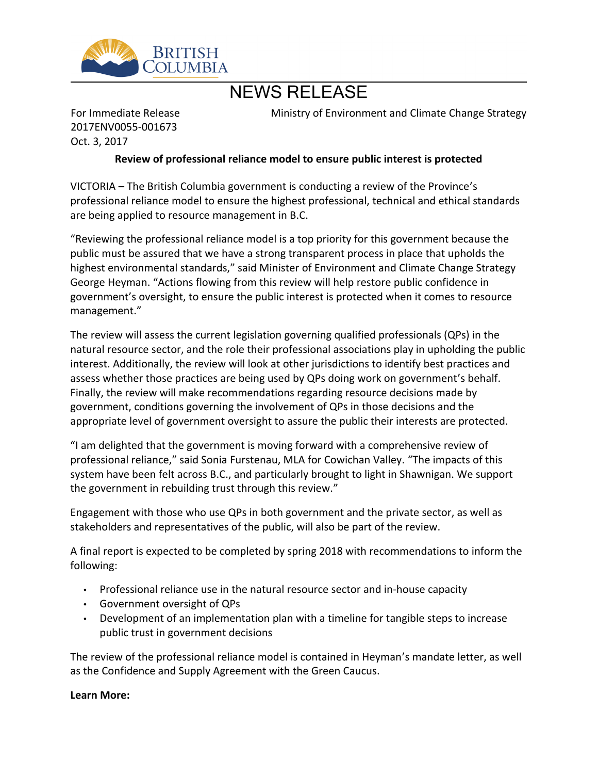

## NEWS RELEASE

For Immediate Release 2017ENV0055-001673 Oct. 3, 2017

Ministry of Environment and Climate Change Strategy

## **Review of professional reliance model to ensure public interest is protected**

VICTORIA – The British Columbia government is conducting a review of the Province's professional reliance model to ensure the highest professional, technical and ethical standards are being applied to resource management in B.C.

͞Reviewing the professional reliance model is a top priority for this government because the public must be assured that we have a strong transparent process in place that upholds the highest environmental standards," said Minister of Environment and Climate Change Strategy George Heyman. "Actions flowing from this review will help restore public confidence in government's oversight, to ensure the public interest is protected when it comes to resource management."

The review will assess the current legislation governing qualified professionals (QPs) in the natural resource sector, and the role their professional associations play in upholding the public interest. Additionally, the review will look at other jurisdictions to identify best practices and assess whether those practices are being used by QPs doing work on government's behalf. Finally, the review will make recommendations regarding resource decisions made by government, conditions governing the involvement of QPs in those decisions and the appropriate level of government oversight to assure the public their interests are protected.

͞I am delighted that the government is moving forward with a comprehensive review of professional reliance," said Sonia Furstenau, MLA for Cowichan Valley. "The impacts of this system have been felt across B.C., and particularly brought to light in Shawnigan. We support the government in rebuilding trust through this review."

Engagement with those who use QPs in both government and the private sector, as well as stakeholders and representatives of the public, will also be part of the review.

A final report is expected to be completed by spring 2018 with recommendations to inform the following:

- Professional reliance use in the natural resource sector and in-house capacity
- Government oversight of QPs
- Development of an implementation plan with a timeline for tangible steps to increase public trust in government decisions

The review of the professional reliance model is contained in Heyman's mandate letter, as well as the Confidence and Supply Agreement with the Green Caucus.

## **Learn More:**